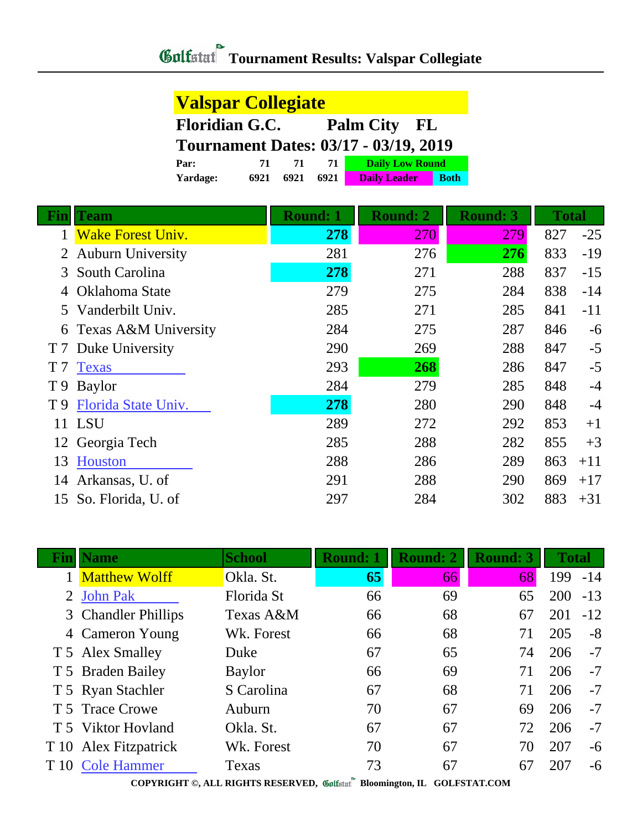| <b>Valspar Collegiate</b>                    |      |      |      |                        |             |  |  |
|----------------------------------------------|------|------|------|------------------------|-------------|--|--|
| <b>Floridian G.C.</b><br>Palm City FL        |      |      |      |                        |             |  |  |
| <b>Tournament Dates: 03/17 - 03/19, 2019</b> |      |      |      |                        |             |  |  |
| Par:                                         | 71   | 71   | 71.  | <b>Daily Low Round</b> |             |  |  |
| Yardage:                                     | 6921 | 6921 | 6921 | <b>Daily Leader</b>    | <b>Both</b> |  |  |

|     | Team                     | <b>Round: 1</b> | <b>Round: 2</b> | <b>Round: 3</b> | <b>Total</b> |       |
|-----|--------------------------|-----------------|-----------------|-----------------|--------------|-------|
|     | <b>Wake Forest Univ.</b> | 278             | <b>270</b>      | 279             | 827          | $-25$ |
| 2   | <b>Auburn University</b> | 281             | 276             | 276             | 833          | $-19$ |
| 3   | South Carolina           | 278             | 271             | 288             | 837          | $-15$ |
|     | Oklahoma State           | 279             | 275             | 284             | 838          | $-14$ |
| 5.  | Vanderbilt Univ.         | 285             | 271             | 285             | 841          | $-11$ |
| 6   | Texas A&M University     | 284             | 275             | 287             | 846          | $-6$  |
| T7  | Duke University          | 290             | 269             | 288             | 847          | $-5$  |
| T 7 | <b>Texas</b>             | 293             | 268             | 286             | 847          | $-5$  |
| T9  | <b>Baylor</b>            | 284             | 279             | 285             | 848          | $-4$  |
| T 9 | Florida State Univ.      | 278             | 280             | 290             | 848          | $-4$  |
|     | 11 LSU                   | 289             | 272             | 292             | 853          | $+1$  |
|     | 12 Georgia Tech          | 285             | 288             | 282             | 855          | $+3$  |
| 13  | Houston                  | 288             | 286             | 289             | 863          | $+11$ |
| 14  | Arkansas, U. of          | 291             | 288             | 290             | 869          | $+17$ |
| 15  | So. Florida, U. of       | 297             | 284             | 302             | 883          | $+31$ |

|      | <b>Name</b>           | <b>School</b> | <b>Round: 1</b> | <b>Round: 2</b> | <b>Round: 3</b> | <b>Total</b> |       |
|------|-----------------------|---------------|-----------------|-----------------|-----------------|--------------|-------|
|      | <b>Matthew Wolff</b>  | Okla. St.     | 65              | 66              | 68              | 199          | $-14$ |
|      | <b>John Pak</b>       | Florida St    | 66              | 69              | 65              | 200          | $-13$ |
|      | 3 Chandler Phillips   | Texas A&M     | 66              | 68              | 67              | 201          | $-12$ |
|      | 4 Cameron Young       | Wk. Forest    | 66              | 68              | 71              | 205          | $-8$  |
|      | T 5 Alex Smalley      | Duke          | 67              | 65              | 74              | 206          | $-7$  |
|      | T 5 Braden Bailey     | Baylor        | 66              | 69              | 71              | 206          | $-7$  |
|      | T 5 Ryan Stachler     | S Carolina    | 67              | 68              | 71              | 206          | $-7$  |
|      | T 5 Trace Crowe       | Auburn        | 70              | 67              | 69              | 206          | $-7$  |
|      | T 5 Viktor Hovland    | Okla. St.     | 67              | 67              | 72              | 206          | $-7$  |
|      | T 10 Alex Fitzpatrick | Wk. Forest    | 70              | 67              | 70              | 207          | -6    |
| T 10 | <b>Cole Hammer</b>    | Texas         | 73<br>$\bullet$ | 67              | 67              | 207          | -6    |

**COPYRIGHT ©, ALL RIGHTS RESERVED, Bloomington, IL GOLFSTAT.COM**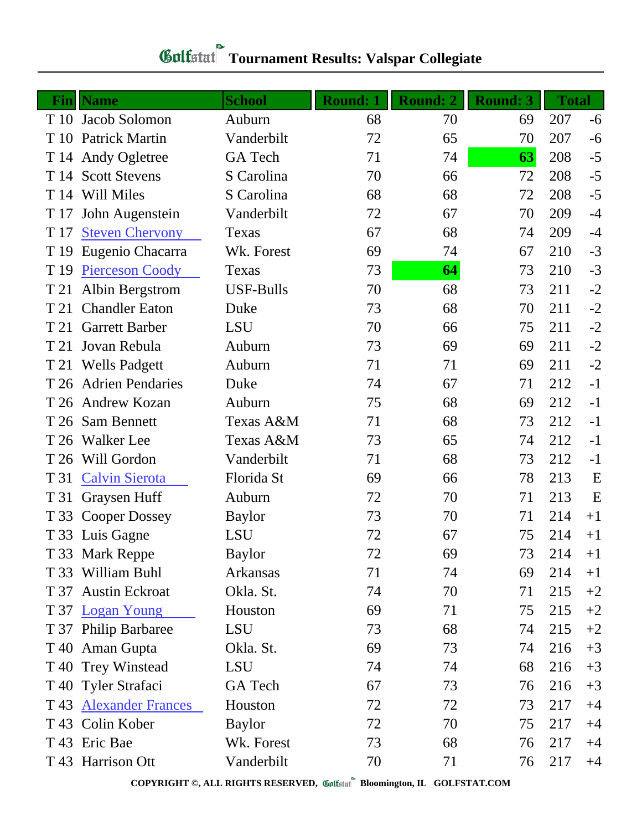| Fin  | <b>Name</b>             | <b>School</b>    | <b>Round: 1</b> | <b>Round: 2</b> | <b>Round: 3</b> | <b>Total</b> |      |
|------|-------------------------|------------------|-----------------|-----------------|-----------------|--------------|------|
| T 10 | Jacob Solomon           | Auburn           | 68              | 70              | 69              | 207          | -6   |
| T 10 | <b>Patrick Martin</b>   | Vanderbilt       | 72              | 65              | 70              | 207          | $-6$ |
| T 14 | Andy Ogletree           | <b>GA</b> Tech   | 71              | 74              | 63              | 208          | $-5$ |
| T 14 | <b>Scott Stevens</b>    | S Carolina       | 70              | 66              | 72              | 208          | $-5$ |
| T 14 | Will Miles              | S Carolina       | 68              | 68              | 72              | 208          | $-5$ |
| T 17 | John Augenstein         | Vanderbilt       | 72              | 67              | 70              | 209          | $-4$ |
| T 17 | <b>Steven Chervony</b>  | Texas            | 67              | 68              | 74              | 209          | $-4$ |
| T 19 | Eugenio Chacarra        | Wk. Forest       | 69              | 74              | 67              | 210          | $-3$ |
| T 19 | <b>Pierceson Coody</b>  | Texas            | 73              | 64              | 73              | 210          | $-3$ |
| T 21 | Albin Bergstrom         | <b>USF-Bulls</b> | 70              | 68              | 73              | 211          | $-2$ |
| T 21 | <b>Chandler Eaton</b>   | Duke             | 73              | 68              | 70              | 211          | $-2$ |
| T 21 | <b>Garrett Barber</b>   | LSU              | 70              | 66              | 75              | 211          | $-2$ |
| T 21 | Jovan Rebula            | Auburn           | 73              | 69              | 69              | 211          | $-2$ |
| T 21 | <b>Wells Padgett</b>    | Auburn           | 71              | 71              | 69              | 211          | $-2$ |
| T 26 | <b>Adrien Pendaries</b> | Duke             | 74              | 67              | 71              | 212          | $-1$ |
| T 26 | <b>Andrew Kozan</b>     | Auburn           | 75              | 68              | 69              | 212          | $-1$ |
| T 26 | <b>Sam Bennett</b>      | Texas A&M        | 71              | 68              | 73              | 212          | $-1$ |
| T 26 | <b>Walker</b> Lee       | Texas A&M        | 73              | 65              | 74              | 212          | $-1$ |
| T 26 | Will Gordon             | Vanderbilt       | 71              | 68              | 73              | 212          | $-1$ |
| T 31 | <b>Calvin Sierota</b>   | Florida St       | 69              | 66              | 78              | 213          | E    |
| T 31 | Graysen Huff            | Auburn           | 72              | 70              | 71              | 213          | E    |
|      | T 33 Cooper Dossey      | <b>Baylor</b>    | 73              | 70              | 71              | 214          | $+1$ |
|      | T 33 Luis Gagne         | <b>LSU</b>       | 72              | 67              | 75              | 214          | $+1$ |
|      | T 33 Mark Reppe         | <b>Baylor</b>    | 72              | 69              | 73              | 214          | $+1$ |
|      | T 33 William Buhl       | Arkansas         | 71              | 74              | 69              | 214          | $+1$ |
| T 37 | <b>Austin Eckroat</b>   | Okla. St.        | 74              | 70              | 71              | 215          | $+2$ |
|      | T 37 Logan Young        | Houston          | 69              | 71              | 75              | 215          | $+2$ |
|      | T 37 Philip Barbaree    | LSU              | 73              | 68              | 74              | 215          | $+2$ |
|      | T 40 Aman Gupta         | Okla. St.        | 69              | 73              | 74              | 216          | $+3$ |
|      | T 40 Trey Winstead      | LSU              | 74              | 74              | 68              | 216          | $+3$ |
|      | T 40 Tyler Strafaci     | GA Tech          | 67              | 73              | 76              | 216          | $+3$ |
|      | T 43 Alexander Frances  | Houston          | 72              | 72              | 73              | 217          | $+4$ |
|      | T 43 Colin Kober        | <b>Baylor</b>    | 72              | 70              | 75              | 217          | $+4$ |
|      | T 43 Eric Bae           | Wk. Forest       | 73              | 68              | 76              | 217          | $+4$ |
|      | T 43 Harrison Ott       | Vanderbilt       | 70              | 71              | 76              | 217          | $+4$ |

**COPYRIGHT ©, ALL RIGHTS RESERVED, Bloomington, IL GOLFSTAT.COM**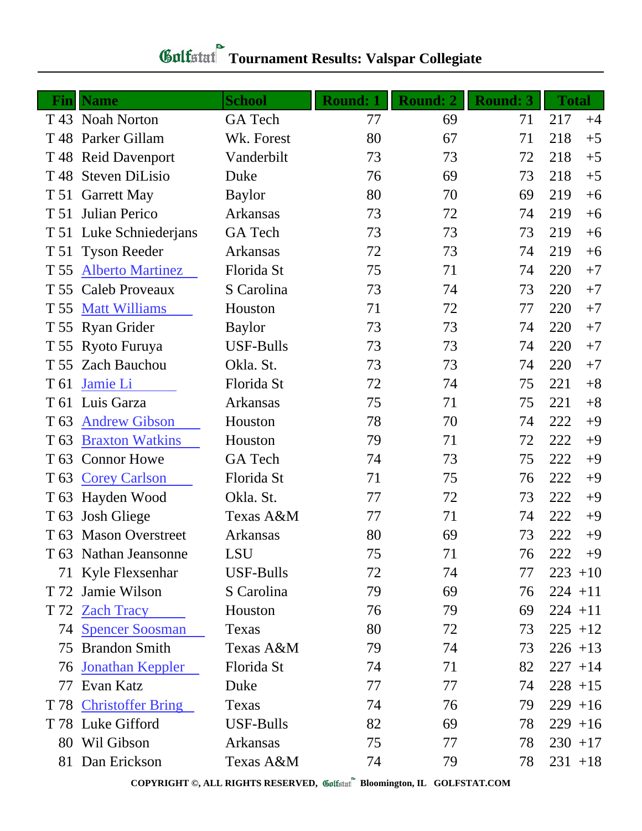| Fin             | <b>Name</b>             | <b>School</b>   | <b>Round: 1</b> | <b>Round: 2</b> | <b>Round: 3</b> | <b>Total</b> |
|-----------------|-------------------------|-----------------|-----------------|-----------------|-----------------|--------------|
|                 | T 43 Noah Norton        | <b>GA</b> Tech  | 77              | 69              | 71              | 217<br>$+4$  |
|                 | T 48 Parker Gillam      | Wk. Forest      | 80              | 67              | 71              | 218<br>$+5$  |
| T 48            | <b>Reid Davenport</b>   | Vanderbilt      | 73              | 73              | 72              | 218<br>$+5$  |
| T 48            | <b>Steven DiLisio</b>   | Duke            | 76              | 69              | 73              | 218<br>$+5$  |
| T 51            | <b>Garrett May</b>      | <b>Baylor</b>   | 80              | 70              | 69              | 219<br>$+6$  |
| T 51            | Julian Perico           | Arkansas        | 73              | 72              | 74              | 219<br>$+6$  |
|                 | T 51 Luke Schniederjans | GA Tech         | 73              | 73              | 73              | 219<br>$+6$  |
| T 51            | <b>Tyson Reeder</b>     | Arkansas        | 72              | 73              | 74              | 219<br>$+6$  |
| T 55            | <b>Alberto Martinez</b> | Florida St      | 75              | 71              | 74              | $+7$<br>220  |
|                 | T 55 Caleb Proveaux     | S Carolina      | 73              | 74              | 73              | 220<br>$+7$  |
| T 55            | <b>Matt Williams</b>    | Houston         | 71              | 72              | 77              | $+7$<br>220  |
|                 | T 55 Ryan Grider        | <b>Baylor</b>   | 73              | 73              | 74              | 220<br>$+7$  |
|                 | T 55 Ryoto Furuya       | USF-Bulls       | 73              | 73              | 74              | 220<br>$+7$  |
| T 55            | <b>Zach Bauchou</b>     | Okla. St.       | 73              | 73              | 74              | 220<br>$+7$  |
| T 61            | Jamie Li                | Florida St      | 72              | 74              | 75              | $+8$<br>221  |
| T 61            | Luis Garza              | Arkansas        | 75              | 71              | 75              | $+8$<br>221  |
| T <sub>63</sub> | <b>Andrew Gibson</b>    | Houston         | 78              | 70              | 74              | 222<br>$+9$  |
| T <sub>63</sub> | <b>Braxton Watkins</b>  | Houston         | 79              | 71              | 72              | 222<br>$+9$  |
| T 63            | <b>Connor Howe</b>      | GA Tech         | 74              | 73              | 75              | 222<br>$+9$  |
|                 | T 63 Corey Carlson      | Florida St      | 71              | 75              | 76              | 222<br>$+9$  |
|                 | T 63 Hayden Wood        | Okla. St.       | 77              | 72              | 73              | 222<br>$+9$  |
|                 | T 63 Josh Gliege        | Texas A&M       | 77              | 71              | 74              | 222<br>$+9$  |
|                 | T 63 Mason Overstreet   | Arkansas        | 80              | 69              | 73              | 222<br>$+9$  |
|                 | T 63 Nathan Jeansonne   | LSU             | 75              | 71              | 76              | 222<br>$+9$  |
|                 | 71 Kyle Flexsenhar      | USF-Bulls       | 72              | 74              | 77              | $223 + 10$   |
|                 | T 72 Jamie Wilson       | S Carolina      | 79              | 69              | 76              | $224 + 11$   |
|                 | T 72 Zach Tracy         | Houston         | 76              | 79              | 69              | $224 + 11$   |
|                 | 74 Spencer Soosman      | Texas           | 80              | 72              | 73              | $225 + 12$   |
| 75              | <b>Brandon Smith</b>    | Texas A&M       | 79              | 74              | 73              | $226 + 13$   |
| 76              | <b>Jonathan Keppler</b> | Florida St      | 74              | 71              | 82              | $227 + 14$   |
| 77              | Evan Katz               | Duke            | 77              | 77              | 74              | $228 + 15$   |
|                 | T 78 Christoffer Bring  | Texas           | 74              | 76              | 79              | $229 + 16$   |
|                 | T 78 Luke Gifford       | USF-Bulls       | 82              | 69              | 78              | $229 + 16$   |
|                 | 80 Wil Gibson           | <b>Arkansas</b> | 75              | 77              | 78              | $230 + 17$   |
|                 | 81 Dan Erickson         | Texas A&M       | 74              | 79              | 78              | $231 + 18$   |

**COPYRIGHT ©, ALL RIGHTS RESERVED, Bloomington, IL GOLFSTAT.COM**